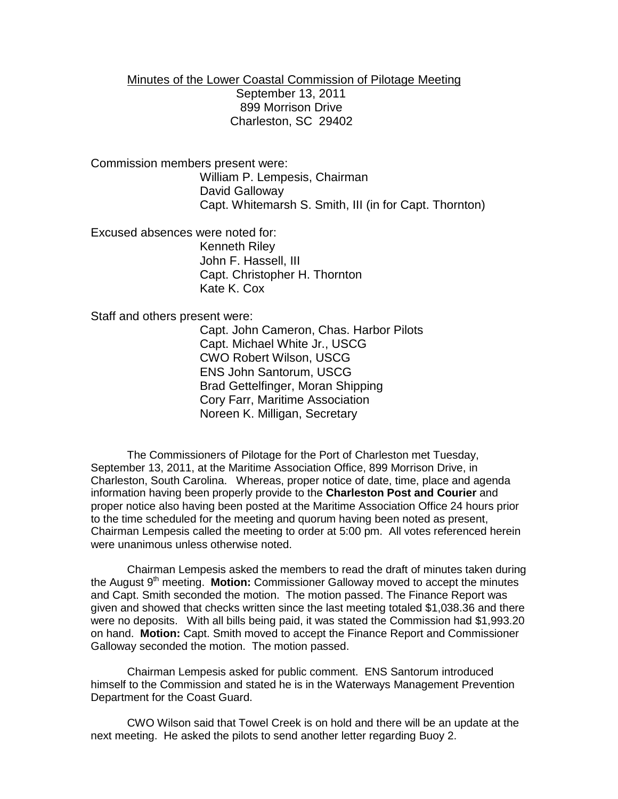Minutes of the Lower Coastal Commission of Pilotage Meeting September 13, 2011 899 Morrison Drive Charleston, SC 29402

Commission members present were: William P. Lempesis, Chairman David Galloway

Capt. Whitemarsh S. Smith, III (in for Capt. Thornton)

Excused absences were noted for:

Kenneth Riley John F. Hassell, III Capt. Christopher H. Thornton Kate K. Cox

Staff and others present were:

Capt. John Cameron, Chas. Harbor Pilots Capt. Michael White Jr., USCG CWO Robert Wilson, USCG ENS John Santorum, USCG Brad Gettelfinger, Moran Shipping Cory Farr, Maritime Association Noreen K. Milligan, Secretary

The Commissioners of Pilotage for the Port of Charleston met Tuesday, September 13, 2011, at the Maritime Association Office, 899 Morrison Drive, in Charleston, South Carolina. Whereas, proper notice of date, time, place and agenda information having been properly provide to the **Charleston Post and Courier** and proper notice also having been posted at the Maritime Association Office 24 hours prior to the time scheduled for the meeting and quorum having been noted as present, Chairman Lempesis called the meeting to order at 5:00 pm. All votes referenced herein were unanimous unless otherwise noted.

Chairman Lempesis asked the members to read the draft of minutes taken during the August 9<sup>th</sup> meeting. **Motion:** Commissioner Galloway moved to accept the minutes and Capt. Smith seconded the motion. The motion passed. The Finance Report was given and showed that checks written since the last meeting totaled \$1,038.36 and there were no deposits. With all bills being paid, it was stated the Commission had \$1,993.20 on hand. **Motion:** Capt. Smith moved to accept the Finance Report and Commissioner Galloway seconded the motion. The motion passed.

Chairman Lempesis asked for public comment. ENS Santorum introduced himself to the Commission and stated he is in the Waterways Management Prevention Department for the Coast Guard.

CWO Wilson said that Towel Creek is on hold and there will be an update at the next meeting. He asked the pilots to send another letter regarding Buoy 2.